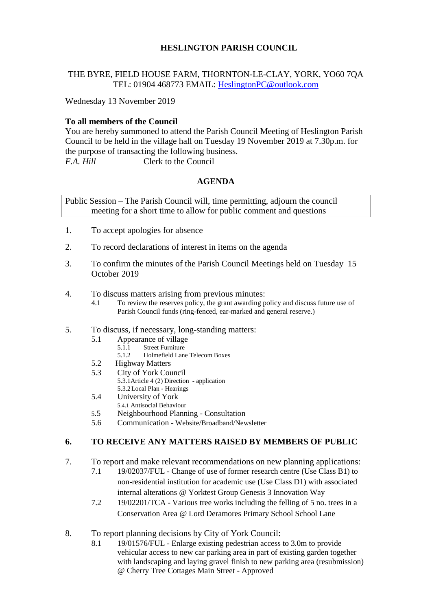# **HESLINGTON PARISH COUNCIL**

#### THE BYRE, FIELD HOUSE FARM, THORNTON-LE-CLAY, YORK, YO60 7QA TEL: 01904 468773 EMAIL: [HeslingtonPC@outlook.com](mailto:HeslingtonPC@outlook.com)

Wednesday 13 November 2019

## **To all members of the Council**

You are hereby summoned to attend the Parish Council Meeting of Heslington Parish Council to be held in the village hall on Tuesday 19 November 2019 at 7.30p.m. for the purpose of transacting the following business. *F.A. Hill* Clerk to the Council

#### **AGENDA**

Public Session – The Parish Council will, time permitting, adjourn the council meeting for a short time to allow for public comment and questions

- 1. To accept apologies for absence
- 2. To record declarations of interest in items on the agenda
- 3. To confirm the minutes of the Parish Council Meetings held on Tuesday 15 October 2019
- 4. To discuss matters arising from previous minutes:
	- 4.1 To review the reserves policy, the grant awarding policy and discuss future use of Parish Council funds (ring-fenced, ear-marked and general reserve.)
- 5. To discuss, if necessary, long-standing matters:
	- 5.1 Appearance of village<br>5.1.1 Street Furniture
		- 5.1.1 Street Furniture<br>5.1.2 Holmefield Lane
		- 5.1.2 Holmefield Lane Telecom Boxes
	- 5.2 Highway Matters
	- 5.3 City of York Council
		- 5.3.1Article 4 (2) Direction application
	- 5.3.2Local Plan Hearings
	- 5.4 University of York
	- 5.4.1 Antisocial Behaviour
	- 5.5 Neighbourhood Planning Consultation
	- 5.6 Communication Website/Broadband/Newsletter

# **6. TO RECEIVE ANY MATTERS RAISED BY MEMBERS OF PUBLIC**

- 7. To report and make relevant recommendations on new planning applications:
	- 7.1 19/02037/FUL Change of use of former research centre (Use Class B1) to non-residential institution for academic use (Use Class D1) with associated internal alterations @ Yorktest Group Genesis 3 Innovation Way
	- 7.2 19/02201/TCA Various tree works including the felling of 5 no. trees in a Conservation Area @ Lord Deramores Primary School School Lane
- 8. To report planning decisions by City of York Council:
	- 8.1 19/01576/FUL Enlarge existing pedestrian access to 3.0m to provide vehicular access to new car parking area in part of existing garden together with landscaping and laying gravel finish to new parking area (resubmission) @ Cherry Tree Cottages Main Street - Approved